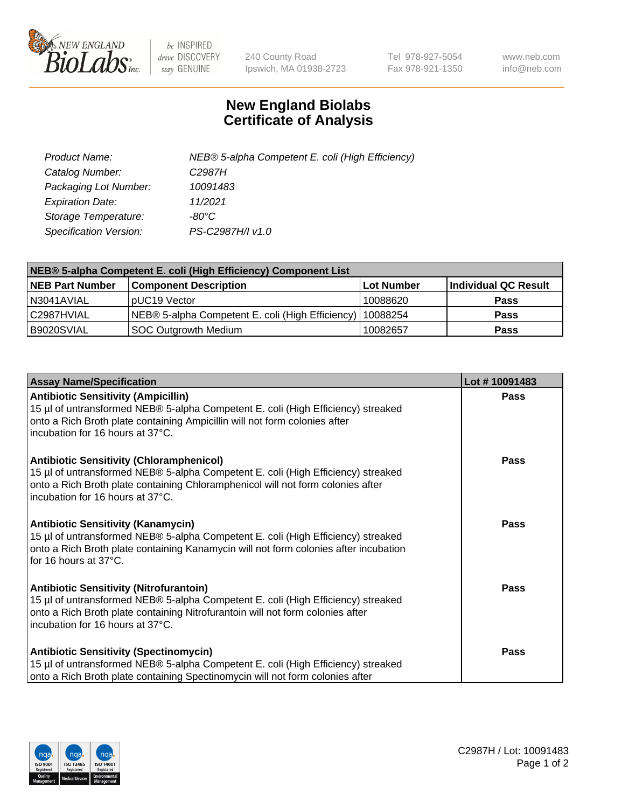

 $be$  INSPIRED drive DISCOVERY stay GENUINE

240 County Road Ipswich, MA 01938-2723 Tel 978-927-5054 Fax 978-921-1350 www.neb.com info@neb.com

## **New England Biolabs Certificate of Analysis**

| Product Name:                 | NEB® 5-alpha Competent E. coli (High Efficiency) |
|-------------------------------|--------------------------------------------------|
| Catalog Number:               | C <sub>2987</sub> H                              |
| Packaging Lot Number:         | 10091483                                         |
| <b>Expiration Date:</b>       | 11/2021                                          |
| Storage Temperature:          | -80°C                                            |
| <b>Specification Version:</b> | PS-C2987H/I v1.0                                 |

| NEB® 5-alpha Competent E. coli (High Efficiency) Component List |                                                  |            |                      |  |
|-----------------------------------------------------------------|--------------------------------------------------|------------|----------------------|--|
| <b>NEB Part Number</b>                                          | <b>Component Description</b>                     | Lot Number | Individual QC Result |  |
| N3041AVIAL                                                      | pUC19 Vector                                     | 10088620   | <b>Pass</b>          |  |
| C2987HVIAL                                                      | NEB® 5-alpha Competent E. coli (High Efficiency) | 10088254   | <b>Pass</b>          |  |
| B9020SVIAL                                                      | <b>SOC Outgrowth Medium</b>                      | 10082657   | <b>Pass</b>          |  |

| <b>Assay Name/Specification</b>                                                                                                                                                                                                                            | Lot #10091483 |
|------------------------------------------------------------------------------------------------------------------------------------------------------------------------------------------------------------------------------------------------------------|---------------|
| <b>Antibiotic Sensitivity (Ampicillin)</b><br>15 µl of untransformed NEB® 5-alpha Competent E. coli (High Efficiency) streaked<br>onto a Rich Broth plate containing Ampicillin will not form colonies after<br>incubation for 16 hours at 37°C.           | Pass          |
| <b>Antibiotic Sensitivity (Chloramphenicol)</b><br>15 µl of untransformed NEB® 5-alpha Competent E. coli (High Efficiency) streaked<br>onto a Rich Broth plate containing Chloramphenicol will not form colonies after<br>incubation for 16 hours at 37°C. | Pass          |
| Antibiotic Sensitivity (Kanamycin)<br>15 µl of untransformed NEB® 5-alpha Competent E. coli (High Efficiency) streaked<br>onto a Rich Broth plate containing Kanamycin will not form colonies after incubation<br>for 16 hours at 37°C.                    | Pass          |
| <b>Antibiotic Sensitivity (Nitrofurantoin)</b><br>15 µl of untransformed NEB® 5-alpha Competent E. coli (High Efficiency) streaked<br>onto a Rich Broth plate containing Nitrofurantoin will not form colonies after<br>incubation for 16 hours at 37°C.   | <b>Pass</b>   |
| <b>Antibiotic Sensitivity (Spectinomycin)</b><br>15 µl of untransformed NEB® 5-alpha Competent E. coli (High Efficiency) streaked<br>onto a Rich Broth plate containing Spectinomycin will not form colonies after                                         | Pass          |